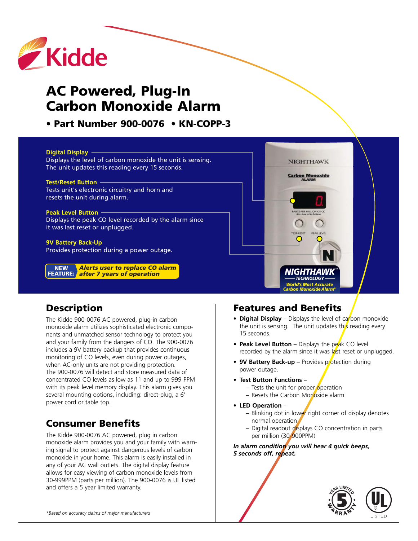

# **AC Powered, Plug-In Carbon Monoxide Alarm**

**• Part Number 900-0076 • KN-COPP-3**

#### **Digital Display**

Displays the level of carbon monoxide the unit is sensing. The unit updates this reading every 15 seconds.

#### **Test/Reset Button**

Tests unit's electronic circuitry and horn and resets the unit during alarm.

#### **Peak Level Button**

Displays the peak CO level recorded by the alarm since it was last reset or unplugged.

#### **9V Battery Back-Up**

Provides protection during a power outage.

*Alerts user to replace CO alarm after 7 years of operation* **FEATURE:NEW**



### **Description**

The Kidde 900-0076 AC powered, plug-in carbon monoxide alarm utilizes sophisticated electronic components and unmatched sensor technology to protect you and your family from the dangers of CO. The 900-0076 includes a 9V battery backup that provides continuous monitoring of CO levels, even during power outages, when AC-only units are not providing protection. The 900-0076 will detect and store measured data of concentrated CO levels as low as 11 and up to 999 PPM with its peak level memory display. This alarm gives you several mounting options, including: direct-plug, a 6' power cord or table top.

### **Consumer Benefits**

The Kidde 900-0076 AC powered, plug in carbon monoxide alarm provides you and your family with warning signal to protect against dangerous levels of carbon monoxide in your home. This alarm is easily installed in any of your AC wall outlets. The digital display feature allows for easy viewing of carbon monoxide levels from 30-999PPM (parts per million). The 900-0076 is UL listed and offers a 5 year limited warranty.

### **Features and Benefits**

- **Digital Display** Displays the level of carbon monoxide the unit is sensing. The unit updates this reading every 15 seconds.
- **Peak Level Button** Displays the peak CO level recorded by the alarm since it was  $a^2$  reset or unplugged.
- **9V Battery Back-up** Provides protection during power outage.
- **Test Button Functions**
	- Tests the unit for proper operation
	- $-$  Resets the Carbon Monoxide alarm
- **• LED Operation**
	- Blinking dot in lower right corner of display denotes normal operation
	- Digital readout displays CO concentration in parts per million (30-900PPM)

*In alarm condition you will hear 4 quick beeps, 5 seconds off, repeat.*